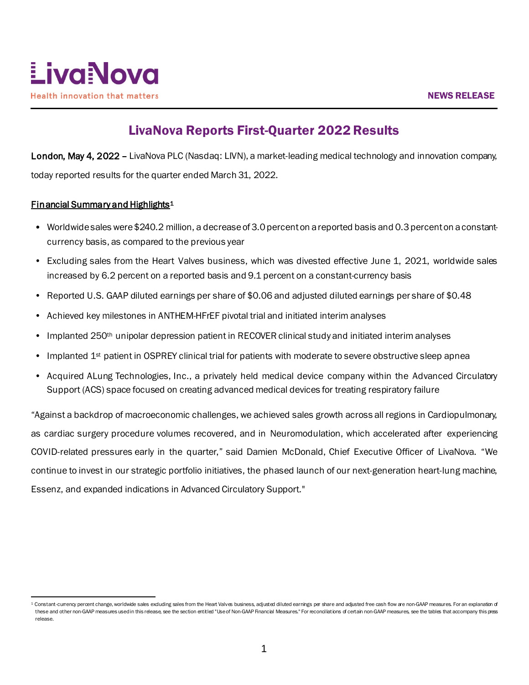

# LivaNova Reports First-Quarter 2022 Results

London, May 4, 2022 – LivaNova PLC (Nasdaq: LIVN), a market-leading medical technology and innovation company, today reported results for the quarter ended March 31, 2022.

# Financial Summary and Highlights<sup>[1](#page-0-0)</sup>

- Worldwide sales were \$240.2 million, a decrease of 3.0 percenton a reported basis and 0.3 percent on a constantcurrency basis, as compared to the previous year
- Excluding sales from the Heart Valves business, which was divested effective June 1, 2021, worldwide sales increased by 6.2 percent on a reported basis and 9.1 percent on a constant-currency basis
- Reported U.S. GAAP diluted earnings per share of \$0.06 and adjusted diluted earnings per share of \$0.48
- Achieved key milestones in ANTHEM-HFrEF pivotal trial and initiated interim analyses
- Implanted 250<sup>th</sup> unipolar depression patient in RECOVER clinical study and initiated interim analyses
- Implanted 1<sup>st</sup> patient in OSPREY clinical trial for patients with moderate to severe obstructive sleep apnea
- Acquired ALung Technologies, Inc., a privately held medical device company within the Advanced Circulatory Support (ACS) space focused on creating advanced medical devices for treating respiratory failure

"Against a backdrop of macroeconomic challenges, we achieved sales growth across all regions in Cardiopulmonary, as cardiac surgery procedure volumes recovered, and in Neuromodulation, which accelerated after experiencing COVID-related pressures early in the quarter," said Damien McDonald, Chief Executive Officer of LivaNova. "We continue to invest in our strategic portfolio initiatives, the phased launch of our next-generation heart-lung machine, Essenz, and expanded indications in Advanced Circulatory Support."

<span id="page-0-0"></span><sup>&</sup>lt;sup>1</sup> Constant-currency percent change, worldwide sales excluding sales from the Heart Valves business, adjusted diluted earnings per share and adjusted free cash flow are non-GAAP measures. For an explanation of these and other non-GAAP measures used in this release, see the section entitled "Use of Non-GAAP Financial Measures." For reconciliations of certain non-GAAP measures, see the tables that accompany this press release.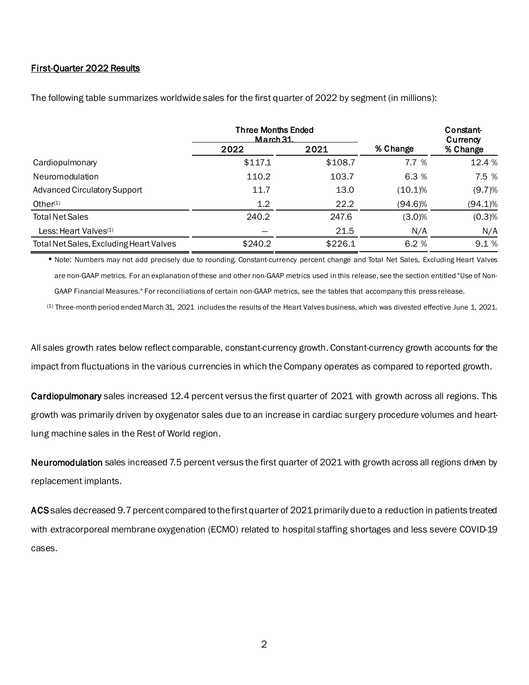### First-Quarter 2022 Results

|                                         | <b>Three Months Ended</b><br>$M$ arch 31 |         |            | Constant-<br>Currency |  |
|-----------------------------------------|------------------------------------------|---------|------------|-----------------------|--|
|                                         | 2022                                     | 2021    | % Change   | % Change              |  |
| Cardiopulmonary                         | \$117.1                                  | \$108.7 | 7.7 %      | 12.4 %                |  |
| Neuromodulation                         | 110.2                                    | 103.7   | 6.3%       | 7.5 %                 |  |
| <b>Advanced Circulatory Support</b>     | 11.7                                     | 13.0    | (10.1)%    | (9.7)%                |  |
| Other $(1)$                             | 1.2                                      | 22.2    | $(94.6)\%$ | $(94.1)\%$            |  |
| <b>Total Net Sales</b>                  | 240.2                                    | 247.6   | $(3.0)\%$  | (0.3)%                |  |
| Less: Heart Valves <sup>(1)</sup>       |                                          | 21.5    | N/A        | N/A                   |  |
| Total Net Sales, Excluding Heart Valves | \$240.2                                  | \$226.1 | 6.2%       | 9.1%                  |  |

The following table summarizes worldwide sales for the first quarter of 2022 by segment (in millions):

•Note: Numbers may not add precisely due to rounding. Constant-currency percent change and Total Net Sales, Excluding Heart Valves are non-GAAP metrics. For an explanation of these and other non-GAAP metrics used in this release, see the section entitled "Use of Non-GAAP Financial Measures." For reconciliations of certain non-GAAP metrics, see the tables that accompany this press release.

 $<sup>(1)</sup>$  Three-month period ended March 31, 2021 includes the results of the Heart Valves business, which was divested effective June 1, 2021.</sup>

All sales growth rates below reflect comparable, constant-currency growth. Constant-currency growth accounts for the impact from fluctuations in the various currencies in which the Company operates as compared to reported growth.

Cardiopulmonary sales increased 12.4 percent versus the first quarter of 2021 with growth across all regions. This growth was primarily driven by oxygenator sales due to an increase in cardiac surgery procedure volumes and heartlung machine sales in the Rest of World region.

Neuromodulation sales increased 7.5 percent versus the first quarter of 2021 with growth across all regions driven by replacement implants.

ACS sales decreased 9.7 percent compared to the first quarter of 2021 primarily due to a reduction in patients treated with extracorporeal membrane oxygenation (ECMO) related to hospital staffing shortages and less severe COVID-19 cases.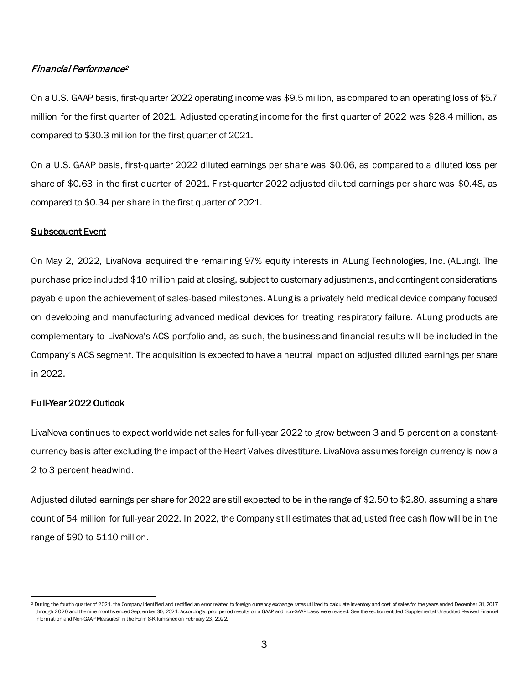## Financial Performance[2](#page-2-0)

On a U.S. GAAP basis, first-quarter 2022 operating income was \$9.5 million, as compared to an operating loss of \$5.7 million for the first quarter of 2021. Adjusted operating income for the first quarter of 2022 was \$28.4 million, as compared to \$30.3 million for the first quarter of 2021.

On a U.S. GAAP basis, first-quarter 2022 diluted earnings per share was \$0.06, as compared to a diluted loss per share of \$0.63 in the first quarter of 2021. First-quarter 2022 adjusted diluted earnings per share was \$0.48, as compared to \$0.34 per share in the first quarter of 2021.

## Subsequent Event

On May 2, 2022, LivaNova acquired the remaining 97% equity interests in ALung Technologies, Inc. (ALung). The purchase price included \$10 million paid at closing, subject to customary adjustments, and contingent considerations payable upon the achievement of sales-based milestones. ALung is a privately held medical device company focused on developing and manufacturing advanced medical devices for treating respiratory failure. ALung products are complementary to LivaNova's ACS portfolio and, as such, the business and financial results will be included in the Company's ACS segment. The acquisition is expected to have a neutral impact on adjusted diluted earnings per share in 2022.

## Full-Year 2022 Outlook

LivaNova continues to expect worldwide net sales for full-year 2022 to grow between 3 and 5 percent on a constantcurrency basis after excluding the impact of the Heart Valves divestiture. LivaNova assumes foreign currency is now a 2 to 3 percent headwind.

Adjusted diluted earnings per share for 2022 are still expected to be in the range of \$2.50 to \$2.80, assuming a share count of 54 million for full-year 2022. In 2022, the Company still estimates that adjusted free cash flow will be in the range of \$90 to \$110 million.

<span id="page-2-0"></span><sup>&</sup>lt;sup>2</sup> During the fourth quarter of 2021, the Company identified and rectified an error related to foreign currency exchange rates utilized to calculate inventory and cost of sales for the years ended December 31, 2017 through 2020 and the nine months ended September 30, 2021 Accordingly, prior period results on a GAAP and non-GAAP basis were revised. See the section entitled "Supplemental Unaudited Revised Financial Information and Non-GAAP Measures" in the Form 8-K furnished on February 23, 2022.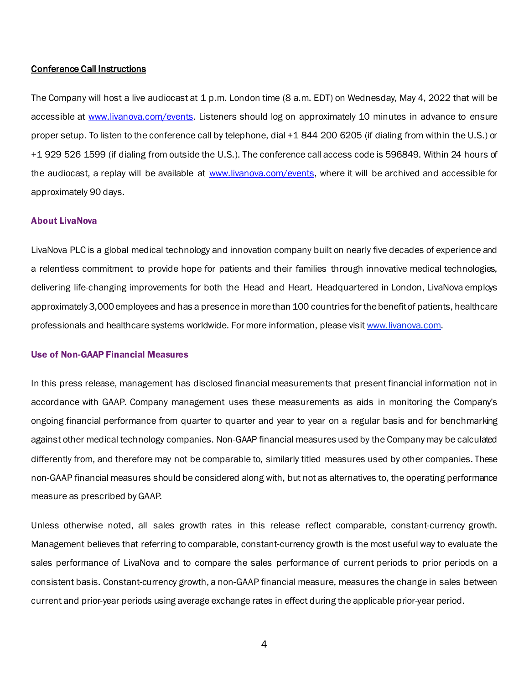#### Conference Call Instructions

The Company will host a live audiocast at 1 p.m. London time (8 a.m. EDT) on Wednesday, May 4, 2022 that will be accessible at [www.livanova.com/events.](http://www.livanova.com/events) Listeners should log on approximately 10 minutes in advance to ensure proper setup. To listen to the conference call by telephone, dial +1 844 200 6205 (if dialing from within the U.S.) or +1 929 526 1599 (if dialing from outside the U.S.). The conference call access code is 596849. Within 24 hours of the audiocast, a replay will be available at [www.livanova.com/events](http://www.livanova.com/events), where it will be archived and accessible for approximately 90 days.

#### About LivaNova

LivaNova PLC is a global medical technology and innovation company built on nearly five decades of experience and a relentless commitment to provide hope for patients and their families through innovative medical technologies, delivering life-changing improvements for both the Head and Heart. Headquartered in London, LivaNova employs approximately 3,000 employees and has a presence in more than 100 countries for the benefit of patients, healthcare professionals and healthcare systems worldwide. For more information, please visit www.livanova.com.

#### Use of Non-GAAP Financial Measures

In this press release, management has disclosed financial measurements that present financial information not in accordance with GAAP. Company management uses these measurements as aids in monitoring the Company's ongoing financial performance from quarter to quarter and year to year on a regular basis and for benchmarking against other medical technology companies. Non-GAAP financial measures used by the Company may be calculated differently from, and therefore may not be comparable to, similarly titled measures used by other companies. These non-GAAP financial measures should be considered along with, but not as alternatives to, the operating performance measure as prescribed by GAAP.

Unless otherwise noted, all sales growth rates in this release reflect comparable, constant-currency growth. Management believes that referring to comparable, constant-currency growth is the most useful way to evaluate the sales performance of LivaNova and to compare the sales performance of current periods to prior periods on a consistent basis. Constant-currency growth, a non-GAAP financial measure, measures the change in sales between current and prior-year periods using average exchange rates in effect during the applicable prior-year period.

4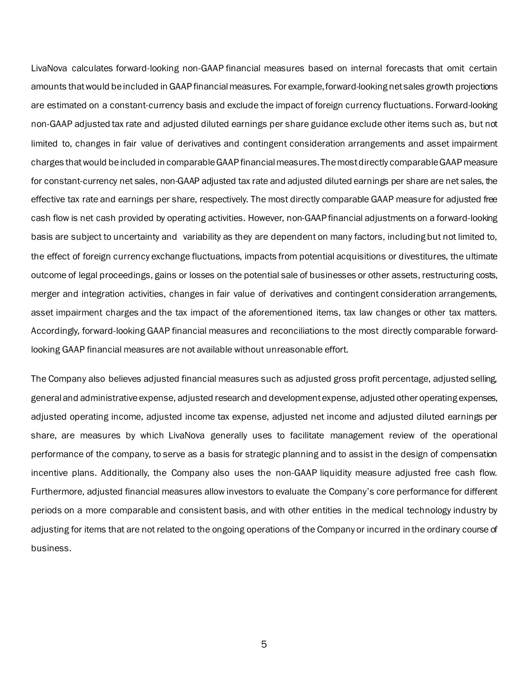LivaNova calculates forward-looking non-GAAP financial measures based on internal forecasts that omit certain amounts that would be included in GAAP financial measures. For example, forward-looking net sales growth projections are estimated on a constant-currency basis and exclude the impact of foreign currency fluctuations. Forward-looking non-GAAP adjusted tax rate and adjusted diluted earnings per share guidance exclude other items such as, but not limited to, changes in fair value of derivatives and contingent consideration arrangements and asset impairment charges that would be included in comparable GAAP financial measures. The most directly comparable GAAP measure for constant-currency net sales, non-GAAP adjusted tax rate and adjusted diluted earnings per share are net sales, the effective tax rate and earnings per share, respectively. The most directly comparable GAAP measure for adjusted free cash flow is net cash provided by operating activities. However, non-GAAP financial adjustments on a forward-looking basis are subject to uncertainty and variability as they are dependent on many factors, including but not limited to, the effect of foreign currency exchange fluctuations, impacts from potential acquisitions or divestitures, the ultimate outcome of legal proceedings, gains or losses on the potential sale of businesses or other assets, restructuring costs, merger and integration activities, changes in fair value of derivatives and contingent consideration arrangements, asset impairment charges and the tax impact of the aforementioned items, tax law changes or other tax matters. Accordingly, forward-looking GAAP financial measures and reconciliations to the most directly comparable forwardlooking GAAP financial measures are not available without unreasonable effort.

The Company also believes adjusted financial measures such as adjusted gross profit percentage, adjusted selling, general and administrative expense, adjusted research and development expense, adjusted other operating expenses, adjusted operating income, adjusted income tax expense, adjusted net income and adjusted diluted earnings per share, are measures by which LivaNova generally uses to facilitate management review of the operational performance of the company, to serve as a basis for strategic planning and to assist in the design of compensation incentive plans. Additionally, the Company also uses the non-GAAP liquidity measure adjusted free cash flow. Furthermore, adjusted financial measures allow investors to evaluate the Company's core performance for different periods on a more comparable and consistent basis, and with other entities in the medical technology industry by adjusting for items that are not related to the ongoing operations of the Company or incurred in the ordinary course of business.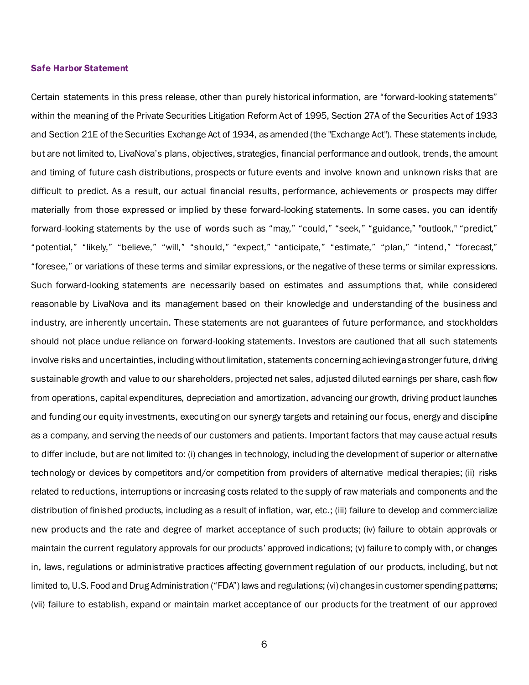#### Safe Harbor Statement

Certain statements in this press release, other than purely historical information, are "forward-looking statements" within the meaning of the Private Securities Litigation Reform Act of 1995, Section 27A of the Securities Act of 1933 and Section 21E of the Securities Exchange Act of 1934, as amended (the "Exchange Act"). These statements include, but are not limited to, LivaNova's plans, objectives, strategies, financial performance and outlook, trends, the amount and timing of future cash distributions, prospects or future events and involve known and unknown risks that are difficult to predict. As a result, our actual financial results, performance, achievements or prospects may differ materially from those expressed or implied by these forward-looking statements. In some cases, you can identify forward-looking statements by the use of words such as "may," "could," "seek," "guidance," "outlook," "predict," "potential," "likely," "believe," "will," "should," "expect," "anticipate," "estimate," "plan," "intend," "forecast," "foresee," or variations of these terms and similar expressions, or the negative of these terms or similar expressions. Such forward-looking statements are necessarily based on estimates and assumptions that, while considered reasonable by LivaNova and its management based on their knowledge and understanding of the business and industry, are inherently uncertain. These statements are not guarantees of future performance, and stockholders should not place undue reliance on forward-looking statements. Investors are cautioned that all such statements involve risks and uncertainties, including without limitation, statements concerning achieving a stronger future, driving sustainable growth and value to our shareholders, projected net sales, adjusted diluted earnings per share, cash flow from operations, capital expenditures, depreciation and amortization, advancing our growth, driving product launches and funding our equity investments, executing on our synergy targets and retaining our focus, energy and discipline as a company, and serving the needs of our customers and patients. Important factors that may cause actual results to differ include, but are not limited to: (i) changes in technology, including the development of superior or alternative technology or devices by competitors and/or competition from providers of alternative medical therapies; (ii) risks related to reductions, interruptions or increasing costs related to the supply of raw materials and components and the distribution of finished products, including as a result of inflation, war, etc.; (iii) failure to develop and commercialize new products and the rate and degree of market acceptance of such products; (iv) failure to obtain approvals or maintain the current regulatory approvals for our products' approved indications; (v) failure to comply with, or changes in, laws, regulations or administrative practices affecting government regulation of our products, including, but not limited to, U.S. Food and Drug Administration ("FDA") laws and regulations; (vi) changes in customer spending patterns; (vii) failure to establish, expand or maintain market acceptance of our products for the treatment of our approved

6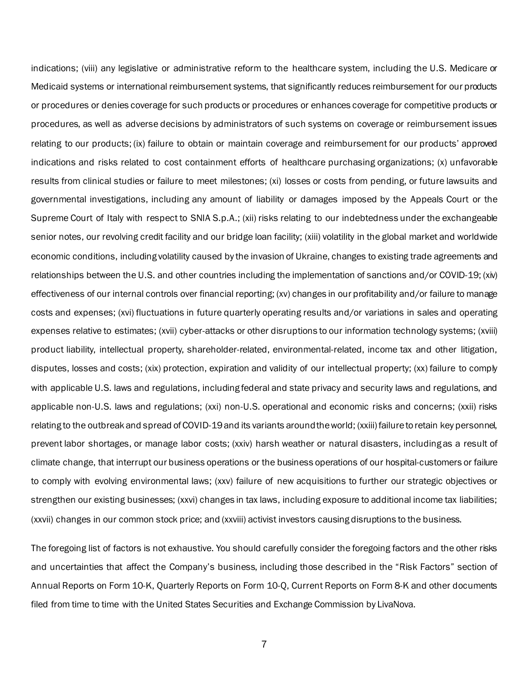indications; (viii) any legislative or administrative reform to the healthcare system, including the U.S. Medicare or Medicaid systems or international reimbursement systems, that significantly reduces reimbursement for our products or procedures or denies coverage for such products or procedures or enhances coverage for competitive products or procedures, as well as adverse decisions by administrators of such systems on coverage or reimbursement issues relating to our products; (ix) failure to obtain or maintain coverage and reimbursement for our products' approved indications and risks related to cost containment efforts of healthcare purchasing organizations; (x) unfavorable results from clinical studies or failure to meet milestones; (xi) losses or costs from pending, or future lawsuits and governmental investigations, including any amount of liability or damages imposed by the Appeals Court or the Supreme Court of Italy with respect to SNIA S.p.A.; (xii) risks relating to our indebtedness under the exchangeable senior notes, our revolving credit facility and our bridge loan facility; (xiii) volatility in the global market and worldwide economic conditions, including volatility caused by the invasion of Ukraine, changes to existing trade agreements and relationships between the U.S. and other countries including the implementation of sanctions and/or COVID-19; (xiv) effectiveness of our internal controls over financial reporting; (xv) changes in our profitability and/or failure to manage costs and expenses; (xvi) fluctuations in future quarterly operating results and/or variations in sales and operating expenses relative to estimates; (xvii) cyber-attacks or other disruptions to our information technology systems; (xviii) product liability, intellectual property, shareholder-related, environmental-related, income tax and other litigation, disputes, losses and costs; (xix) protection, expiration and validity of our intellectual property; (xx) failure to comply with applicable U.S. laws and regulations, including federal and state privacy and security laws and regulations, and applicable non-U.S. laws and regulations; (xxi) non-U.S. operational and economic risks and concerns; (xxii) risks relating to the outbreak and spread of COVID-19 and its variants around the world; (xxiii) failure to retain key personnel, prevent labor shortages, or manage labor costs; (xxiv) harsh weather or natural disasters, including as a result of climate change, that interrupt our business operations or the business operations of our hospital-customers or failure to comply with evolving environmental laws; (xxv) failure of new acquisitions to further our strategic objectives or strengthen our existing businesses; (xxvi) changes in tax laws, including exposure to additional income tax liabilities; (xxvii) changes in our common stock price; and (xxviii) activist investors causing disruptions to the business.

The foregoing list of factors is not exhaustive. You should carefully consider the foregoing factors and the other risks and uncertainties that affect the Company's business, including those described in the "Risk Factors" section of Annual Reports on Form 10-K, Quarterly Reports on Form 10-Q, Current Reports on Form 8-K and other documents filed from time to time with the United States Securities and Exchange Commission by LivaNova.

7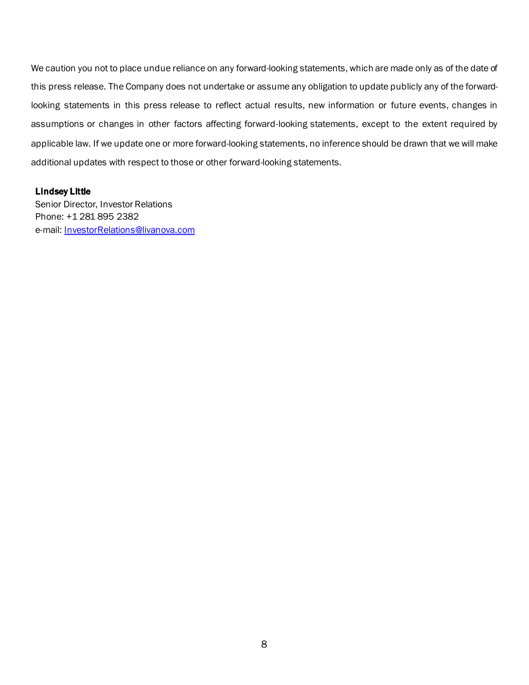We caution you not to place undue reliance on any forward-looking statements, which are made only as of the date of this press release. The Company does not undertake or assume any obligation to update publicly any of the forwardlooking statements in this press release to reflect actual results, new information or future events, changes in assumptions or changes in other factors affecting forward-looking statements, except to the extent required by applicable law. If we update one or more forward-looking statements, no inference should be drawn that we will make additional updates with respect to those or other forward-looking statements.

### Lindsey Little

Senior Director, Investor Relations Phone: +1 281 895 2382 e-mail: [InvestorRelations@livanova.com](mailto:InvestorRelations@livanova.com)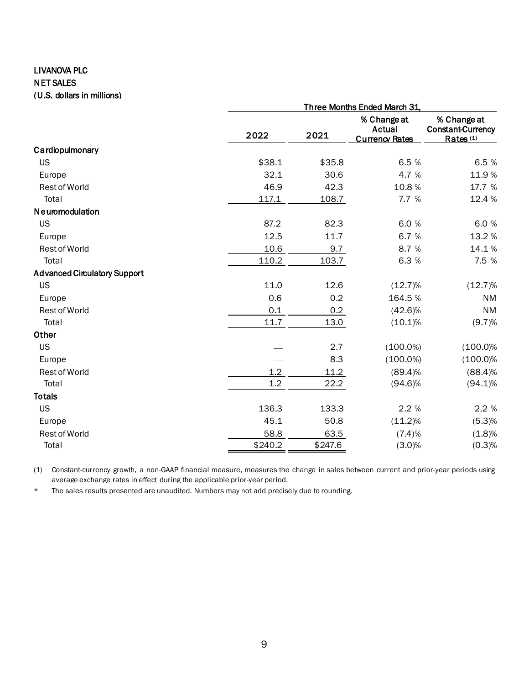# LIVANOVA PLC NET SALES (U.S. dollars in millions)

|                                     |         | Three Months Ended March 31, |                                                |                                                                 |  |  |  |  |
|-------------------------------------|---------|------------------------------|------------------------------------------------|-----------------------------------------------------------------|--|--|--|--|
|                                     | 2022    | 2021                         | % Change at<br>Actual<br><b>Currency Rates</b> | % Change at<br><b>Constant-Currency</b><br>Rates <sup>(1)</sup> |  |  |  |  |
| Cardiopulmonary                     |         |                              |                                                |                                                                 |  |  |  |  |
| <b>US</b>                           | \$38.1  | \$35.8                       | 6.5 %                                          | 6.5 %                                                           |  |  |  |  |
| Europe                              | 32.1    | 30.6                         | 4.7 %                                          | 11.9%                                                           |  |  |  |  |
| Rest of World                       | 46.9    | 42.3                         | 10.8%                                          | 17.7 %                                                          |  |  |  |  |
| Total                               | 117.1   | 108.7                        | 7.7 %                                          | 12.4 %                                                          |  |  |  |  |
| Neuromodulation                     |         |                              |                                                |                                                                 |  |  |  |  |
| <b>US</b>                           | 87.2    | 82.3                         | 6.0%                                           | 6.0%                                                            |  |  |  |  |
| Europe                              | 12.5    | 11.7                         | 6.7 %                                          | 13.2 %                                                          |  |  |  |  |
| Rest of World                       | 10.6    | 9.7                          | 8.7 %                                          | 14.1%                                                           |  |  |  |  |
| Total                               | 110.2   | 103.7                        | 6.3 %                                          | 7.5 %                                                           |  |  |  |  |
| <b>Advanced Circulatory Support</b> |         |                              |                                                |                                                                 |  |  |  |  |
| <b>US</b>                           | 11.0    | 12.6                         | $(12.7)\%$                                     | $(12.7)\%$                                                      |  |  |  |  |
| Europe                              | 0.6     | 0.2                          | 164.5%                                         | <b>NM</b>                                                       |  |  |  |  |
| Rest of World                       | 0.1     | 0.2                          | $(42.6)\%$                                     | <b>NM</b>                                                       |  |  |  |  |
| Total                               | 11.7    | 13.0                         | $(10.1)\%$                                     | (9.7)%                                                          |  |  |  |  |
| Other                               |         |                              |                                                |                                                                 |  |  |  |  |
| <b>US</b>                           |         | 2.7                          | $(100.0\%)$                                    | $(100.0)\%$                                                     |  |  |  |  |
| Europe                              |         | 8.3                          | $(100.0\%)$                                    | $(100.0)\%$                                                     |  |  |  |  |
| Rest of World                       | 1.2     | 11.2                         | $(89.4)\%$                                     | (88.4)%                                                         |  |  |  |  |
| Total                               | 1.2     | 22.2                         | $(94.6)\%$                                     | $(94.1)\%$                                                      |  |  |  |  |
| <b>Totals</b>                       |         |                              |                                                |                                                                 |  |  |  |  |
| <b>US</b>                           | 136.3   | 133.3                        | 2.2 %                                          | 2.2 %                                                           |  |  |  |  |
| Europe                              | 45.1    | 50.8                         | $(11.2)\%$                                     | (5.3)%                                                          |  |  |  |  |
| Rest of World                       | 58.8    | 63.5                         | (7.4)%                                         | (1.8)%                                                          |  |  |  |  |
| Total                               | \$240.2 | \$247.6                      | (3.0)%                                         | (0.3)%                                                          |  |  |  |  |
|                                     |         |                              |                                                |                                                                 |  |  |  |  |

(1) Constant-currency growth, a non-GAAP financial measure, measures the change in sales between current and prior-year periods using average exchange rates in effect during the applicable prior-year period.

\* The sales results presented are unaudited. Numbers may not add precisely due to rounding.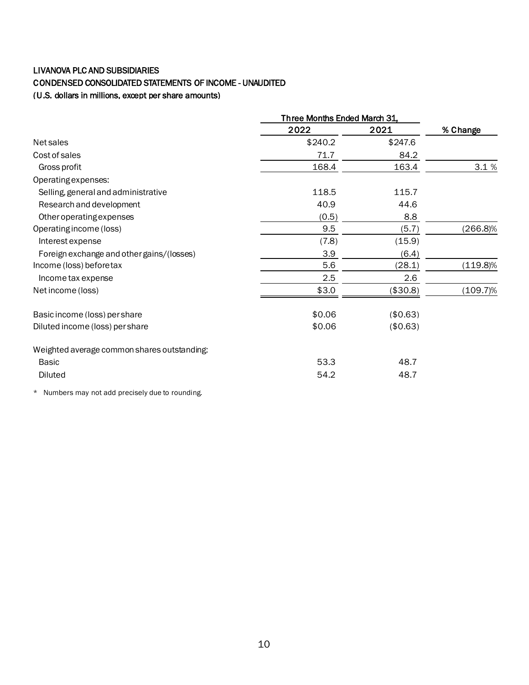# LIVANOVA PLC AND SUBSIDIARIES

# CONDENSED CONSOLIDATED STATEMENTS OF INCOME - UNAUDITED

(U.S. dollars in millions, except per share amounts)

|                                             | Three Months Ended March 31, |          |             |
|---------------------------------------------|------------------------------|----------|-------------|
|                                             | 2022                         | 2021     | % Change    |
| Net sales                                   | \$240.2                      | \$247.6  |             |
| Cost of sales                               | 71.7                         | 84.2     |             |
| Gross profit                                | 168.4                        | 163.4    | 3.1%        |
| Operating expenses:                         |                              |          |             |
| Selling, general and administrative         | 118.5                        | 115.7    |             |
| Research and development                    | 40.9                         | 44.6     |             |
| Other operating expenses                    | (0.5)                        | 8.8      |             |
| Operating income (loss)                     | 9.5                          | (5.7)    | $(266.8)\%$ |
| Interest expense                            | (7.8)                        | (15.9)   |             |
| Foreign exchange and other gains/(losses)   | 3.9                          | (6.4)    |             |
| Income (loss) before tax                    | 5.6                          | (28.1)   | $(119.8)\%$ |
| Income tax expense                          | 2.5                          | 2.6      |             |
| Net income (loss)                           | \$3.0                        | (\$30.8) | $(109.7)\%$ |
| Basic income (loss) per share               | \$0.06                       | (\$0.63) |             |
| Diluted income (loss) per share             | \$0.06                       | (\$0.63) |             |
| Weighted average common shares outstanding: |                              |          |             |
| Basic                                       | 53.3                         | 48.7     |             |
| <b>Diluted</b>                              | 54.2                         | 48.7     |             |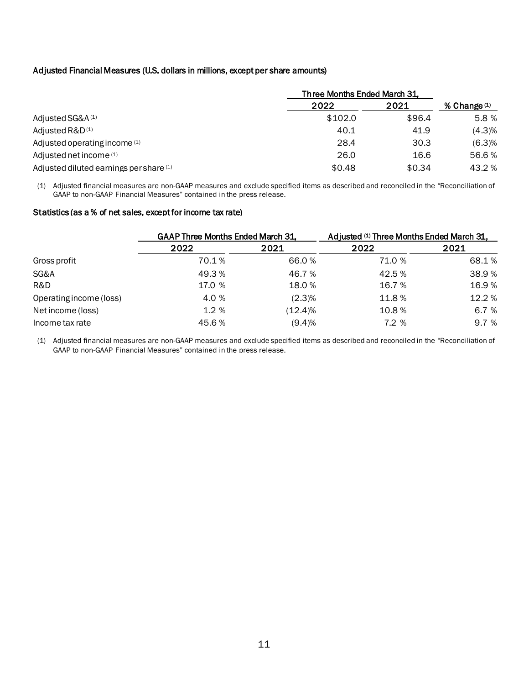## Adjusted Financial Measures (U.S. dollars in millions, except per share amounts)

|                                         | Three Months Ended March 31, |        |                |
|-----------------------------------------|------------------------------|--------|----------------|
|                                         | 2022                         | 2021   | % Change $(1)$ |
| Adjusted SG&A <sup>(1)</sup>            | \$102.0                      | \$96.4 | 5.8 %          |
| Adjusted R&D <sup>(1)</sup>             | 40.1                         | 41.9   | (4.3)%         |
| Adjusted operating income (1)           | 28.4                         | 30.3   | (6.3)%         |
| Adjusted net income (1)                 | 26.0                         | 16.6   | 56.6%          |
| Adjusted diluted earnings per share (1) | \$0.48                       | \$0.34 | 43.2 %         |

(1) Adjusted financial measures are non-GAAP measures and exclude specified items as described and reconciled in the "Reconciliation of GAAP to non-GAAP Financial Measures" contained in the press release.

#### Statistics (as a % of net sales, except for income tax rate)

|                         | GAAP Three Months Ended March 31, |         | Adjusted (1) Three Months Ended March 31, |        |  |  |
|-------------------------|-----------------------------------|---------|-------------------------------------------|--------|--|--|
|                         | 2022                              | 2021    | 2022                                      | 2021   |  |  |
| Gross profit            | 70.1%                             | 66.0%   | 71.0 %                                    | 68.1%  |  |  |
| SG&A                    | 49.3%                             | 46.7 %  | 42.5 %                                    | 38.9%  |  |  |
| R&D                     | 17.0 %                            | 18.0%   | 16.7%                                     | 16.9%  |  |  |
| Operating income (loss) | 4.0 %                             | (2.3)%  | 11.8%                                     | 12.2 % |  |  |
| Net income (loss)       | 1.2%                              | (12.4)% | 10.8%                                     | 6.7 %  |  |  |
| Income tax rate         | 45.6%                             | (9.4)%  | 7.2 %                                     | 9.7 %  |  |  |

(1) Adjusted financial measures are non-GAAP measures and exclude specified items as described and reconciled in the "Reconciliation of GAAP to non-GAAP Financial Measures" contained in the press release.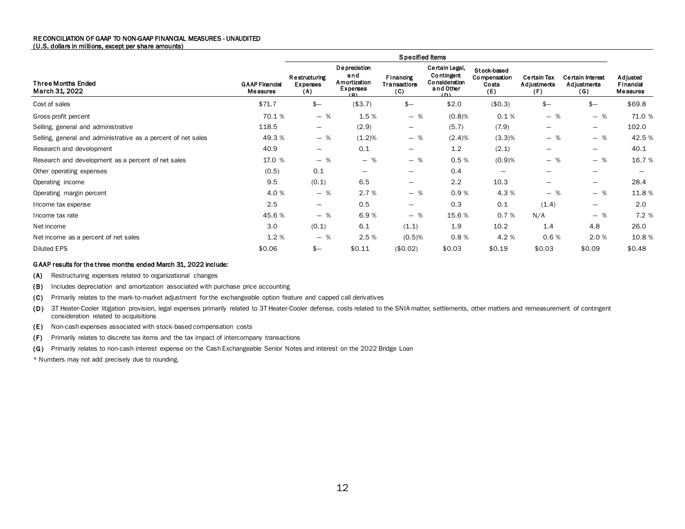#### RE CONCILIATION OF GAAP TO NON-GAAP FINANCIAL MEASURES - UNAUDITED (U.S. dollars in millions, except per share amounts)

| Specified Items                                               |                                   |                                         |                                                               |                                         |                                                                          |                                             |                                          |                                               |                                          |
|---------------------------------------------------------------|-----------------------------------|-----------------------------------------|---------------------------------------------------------------|-----------------------------------------|--------------------------------------------------------------------------|---------------------------------------------|------------------------------------------|-----------------------------------------------|------------------------------------------|
| <b>Three Months Ended</b><br>March 31, 2022                   | <b>GAAP Financial</b><br>Measures | <b>Restructuring</b><br>Expenses<br>(A) | <b>De preciation</b><br>and<br>Amortization<br>Expenses<br>O) | Financing<br><b>Transactions</b><br>(C) | Certain Legal,<br>Contingent<br><b>Consideration</b><br>and Other<br>(5) | Stock-based<br>Compensation<br>Costs<br>(E) | <b>Certain Tax</b><br>Adjustments<br>(F) | <b>Certain Interest</b><br>Adjustments<br>(G) | <b>Adjusted</b><br>Financial<br>Measures |
| Cost of sales                                                 | \$71.7                            | $$ -$                                   | (\$3.7)                                                       | $$ -$                                   | \$2.0                                                                    | (\$0.3)                                     | $$ -$                                    | $$ -$                                         | \$69.8                                   |
| Gross profit percent                                          | 70.1%                             | $-$ %                                   | 1.5 %                                                         | $-$ %                                   | (0.8)%                                                                   | 0.1%                                        | $-$ %                                    | - %                                           | 71.0 %                                   |
| Selling, general and administrative                           | 118.5                             | $\overline{\phantom{m}}$                | (2.9)                                                         |                                         | (5.7)                                                                    | (7.9)                                       |                                          | $\overline{\phantom{0}}$                      | 102.0                                    |
| Selling, general and administrative as a percent of net sales | 49.3 %                            | $-$ %                                   | (1.2)%                                                        | - %                                     | (2.4)%                                                                   | (3.3)%                                      | - %                                      | - %                                           | 42.5 %                                   |
| Research and development                                      | 40.9                              | $\qquad \qquad \blacksquare$            | 0.1                                                           | $\overline{\phantom{a}}$                | 1.2                                                                      | (2.1)                                       | $\overline{\phantom{0}}$                 | —                                             | 40.1                                     |
| Research and development as a percent of net sales            | 17.0 %                            | $-$ %                                   | $-$ %                                                         | $-$ %                                   | 0.5%                                                                     | (0.9)%                                      | - %                                      | - %                                           | 16.7%                                    |
| Other operating expenses                                      | (0.5)                             | 0.1                                     | $\overline{\phantom{m}}$                                      |                                         | 0.4                                                                      |                                             |                                          |                                               |                                          |
| Operating income                                              | 9.5                               | (0.1)                                   | 6.5                                                           | $\overline{\phantom{a}}$                | 2.2                                                                      | 10.3                                        | $\qquad \qquad -$                        | $\overline{\phantom{0}}$                      | 28.4                                     |
| Operating margin percent                                      | 4.0%                              | $-$ %                                   | 2.7%                                                          | $-$ %                                   | 0.9%                                                                     | 4.3 %                                       | $-$ %                                    | - %                                           | 11.8%                                    |
| Income tax expense                                            | 2.5                               | $\qquad \qquad -$                       | 0.5                                                           | $\qquad \qquad$                         | 0.3                                                                      | 0.1                                         | (1.4)                                    | —                                             | 2.0                                      |
| Income tax rate                                               | 45.6%                             | $-$ %                                   | 6.9%                                                          | $-$ %                                   | 15.6 %                                                                   | 0.7%                                        | N/A                                      | - %                                           | 7.2 %                                    |
| Net income                                                    | 3.0                               | (0.1)                                   | 6.1                                                           | (1.1)                                   | 1.9                                                                      | 10.2                                        | 1.4                                      | 4.8                                           | 26.0                                     |
| Net income as a percent of net sales                          | 1.2%                              | $-$ %                                   | 2.5%                                                          | (0.5)%                                  | 0.8%                                                                     | 4.2 %                                       | 0.6%                                     | 2.0 %                                         | 10.8%                                    |
| <b>Diluted EPS</b>                                            | \$0.06                            | $$ -$                                   | \$0.11                                                        | (\$0.02)                                | \$0.03                                                                   | \$0.19                                      | \$0.03                                   | \$0.09                                        | \$0.48                                   |

#### G AAP results for the three months ended March 31, 2022 include:

(A) Restructuring expenses related to organizational changes

(B) Includes depreciation and amortization associated with purchase price accounting

(C) Primarily relates to the mark-to-market adjustment for the exchangeable option feature and capped call derivatives

(D) 3T Heater-Cooler litigation provision, legal expenses primarily related to 3T Heater-Cooler defense, costs related to the SNIA matter, settlements, other matters and remeasurement of contingent consideration related to acquisitions

- (E) Non-cash expenses associated with stock-based compensation costs
- (F) Primarily relates to discrete tax items and the tax impact of intercompany transactions

(G) Primarily relates to non-cash interest expense on the Cash Exchangeable Senior Notes and interest on the 2022 Bridge Loan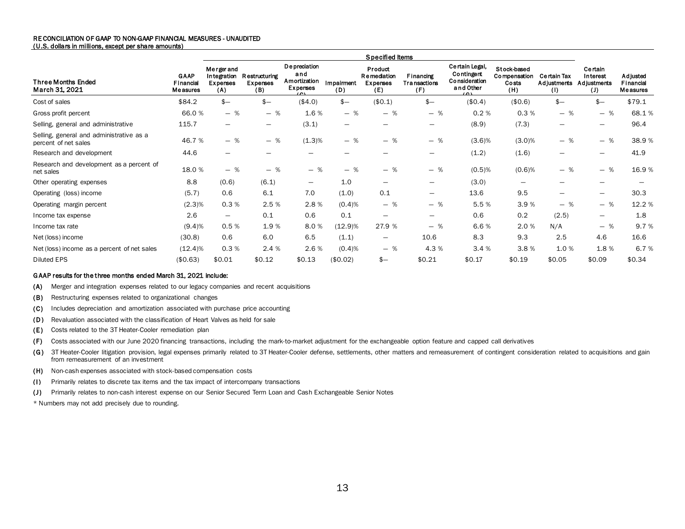#### RE CONCILIATION OF GAAP TO NON-GAAP FINANCIAL MEASURES - UNAUDITED (U.S. dollars in millions, except per share amounts)

|                                                                  |                               | Specified Items                             |                                                |                                                                   |                        |                                                  |                                         |                                                                             |                                             |                                          |                                                  |                                   |
|------------------------------------------------------------------|-------------------------------|---------------------------------------------|------------------------------------------------|-------------------------------------------------------------------|------------------------|--------------------------------------------------|-----------------------------------------|-----------------------------------------------------------------------------|---------------------------------------------|------------------------------------------|--------------------------------------------------|-----------------------------------|
| <b>Three Months Ended</b><br>March 31, 2021                      | GAAP<br>Financial<br>Measures | Mergerand<br>Integration<br>Expenses<br>(A) | <b>Restructuring</b><br><b>Expenses</b><br>(B) | <b>De preciation</b><br>and<br>Amortization<br>Expenses<br>$\sim$ | Impairment<br>(D)      | Product<br>Remediation<br><b>Expenses</b><br>(E) | Financing<br><b>Transactions</b><br>(F) | Certain Legal,<br>Contingent<br><b>Consideration</b><br>and Other<br>$\sim$ | Stock-based<br>Compensation<br>Costs<br>(H) | <b>Certain Tax</b><br>Adjustments<br>(1) | <b>Certain</b><br>Interest<br>Adjustments<br>(J) | Adjusted<br>Financial<br>Measures |
| Cost of sales                                                    | \$84.2                        | $$ -$                                       | $$ -$                                          | (\$4.0)                                                           | $s-$                   | (\$0.1)                                          | $$ -$                                   | (\$0.4)                                                                     | (\$0.6)                                     | $$ -$                                    | $$ -$                                            | \$79.1                            |
| Gross profit percent                                             | 66.0%                         | $-$ %                                       | $-$ %                                          | 1.6%                                                              | $-$ %                  | $-$ %                                            | - %                                     | 0.2%                                                                        | 0.3%                                        | $-$ %                                    | $-$ %                                            | 68.1%                             |
| Selling, general and administrative                              | 115.7                         | $\overline{\phantom{0}}$                    | $\qquad \qquad \longleftarrow$                 | (3.1)                                                             | $\qquad \qquad \qquad$ | —                                                | $\qquad \qquad \longleftarrow$          | (8.9)                                                                       | (7.3)                                       | $\overline{\phantom{m}}$                 | $\qquad \qquad$                                  | 96.4                              |
| Selling, general and administrative as a<br>percent of net sales | 46.7%                         | - %                                         | $-$ %                                          | (1.3)%                                                            | $-$ %                  | $-$ %                                            | - %                                     | (3.6)%                                                                      | (3.0)%                                      | - %                                      | $-$ %                                            | 38.9%                             |
| Research and development                                         | 44.6                          | $\overline{\phantom{0}}$                    | —                                              | $\overline{\phantom{0}}$                                          |                        | -                                                | —                                       | (1.2)                                                                       | (1.6)                                       | $\overline{\phantom{m}}$                 | $\overline{\phantom{0}}$                         | 41.9                              |
| Research and development as a percent of<br>net sales            | 18.0%                         | - %                                         | $-$ %                                          | $-$ %                                                             | $-$ %                  | $-$ %                                            | - %                                     | $(0.5)$ %                                                                   | $(0.6)$ %                                   | $-$ %                                    | $-$ %                                            | 16.9%                             |
| Other operating expenses                                         | 8.8                           | (0.6)                                       | (6.1)                                          | $\qquad \qquad$                                                   | 1.0                    | —                                                | $\overline{\phantom{0}}$                | (3.0)                                                                       |                                             |                                          |                                                  |                                   |
| Operating (loss) income                                          | (5.7)                         | 0.6                                         | 6.1                                            | 7.0                                                               | (1.0)                  | 0.1                                              | —                                       | 13.6                                                                        | 9.5                                         |                                          |                                                  | 30.3                              |
| Operating margin percent                                         | $(2.3)\%$                     | 0.3%                                        | 2.5 %                                          | 2.8%                                                              | (0.4)%                 | $-$ %                                            | - %                                     | 5.5%                                                                        | 3.9%                                        | $-$ %                                    | - %                                              | 12.2 %                            |
| Income tax expense                                               | 2.6                           | $\qquad \qquad -$                           | 0.1                                            | 0.6                                                               | 0.1                    | —                                                | $\overline{\phantom{0}}$                | 0.6                                                                         | 0.2                                         | (2.5)                                    | $\qquad \qquad -$                                | 1.8                               |
| Income tax rate                                                  | (9.4)%                        | 0.5%                                        | 1.9%                                           | 8.0%                                                              | $(12.9)\%$             | 27.9 %                                           | $-$ %                                   | 6.6%                                                                        | 2.0 %                                       | N/A                                      | - %                                              | 9.7%                              |
| Net (loss) income                                                | (30.8)                        | 0.6                                         | 6.0                                            | 6.5                                                               | (1.1)                  | -                                                | 10.6                                    | 8.3                                                                         | 9.3                                         | 2.5                                      | 4.6                                              | 16.6                              |
| Net (loss) income as a percent of net sales                      | (12.4)%                       | 0.3%                                        | 2.4 %                                          | 2.6%                                                              | (0.4)%                 | $-$ %                                            | 4.3 %                                   | 3.4%                                                                        | 3.8%                                        | 1.0%                                     | 1.8%                                             | 6.7%                              |
| <b>Diluted EPS</b>                                               | (\$0.63)                      | \$0.01                                      | \$0.12                                         | \$0.13                                                            | (\$0.02)               | \$—                                              | \$0.21                                  | \$0.17                                                                      | \$0.19                                      | \$0.05                                   | \$0.09                                           | \$0.34                            |

#### G AAP results for the three months ended March 31, 2021 include:

(A) Merger and integration expenses related to our legacy companies and recent acquisitions

- (B) Restructuring expenses related to organizational changes
- (C) Includes depreciation and amortization associated with purchase price accounting
- (D) Revaluation associated with the classification of Heart Valves as held for sale
- (E) Costs related to the 3T Heater-Cooler remediation plan
- (F) Costs associated with our June 2020 financing transactions, including the mark-to-market adjustment for the exchangeable option feature and capped call derivatives
- (G) 3T Heater-Cooler litigation provision, legal expenses primarily related to 3T Heater-Cooler defense, settlements, other matters and remeasurement of contingent consideration related to acquisitions and gain from remeasurement of an investment
- (H) Non-cash expenses associated with stock-based compensation costs
- (I) Primarily relates to discrete tax items and the tax impact of intercompany transactions
- (J) Primarily relates to non-cash interest expense on our Senior Secured Term Loan and Cash Exchangeable Senior Notes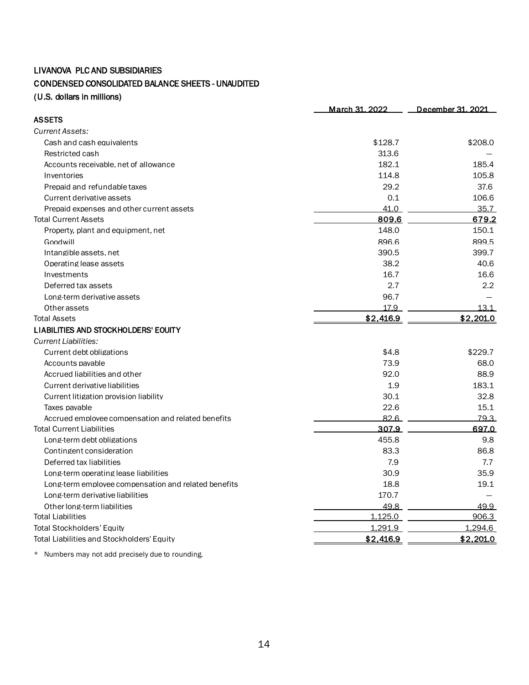# LIVANOVA PLC AND SUBSIDIARIES

# CONDENSED CONSOLIDATED BALANCE SHEETS - UNAUDITED

(U.S. dollars in millions)

|                                                      | March 31, 2022 | December 31, 2021 |
|------------------------------------------------------|----------------|-------------------|
| <b>ASSETS</b>                                        |                |                   |
| Current Assets:                                      |                |                   |
| Cash and cash equivalents                            | \$128.7        | \$208.0           |
| Restricted cash                                      | 313.6          |                   |
| Accounts receivable, net of allowance                | 182.1          | 185.4             |
| Inventories                                          | 114.8          | 105.8             |
| Prepaid and refundable taxes                         | 29.2           | 37.6              |
| Current derivative assets                            | 0.1            | 106.6             |
| Prepaid expenses and other current assets            | 41.0           | 35.7              |
| <b>Total Current Assets</b>                          | 809.6          | 679.2             |
| Property, plant and equipment, net                   | 148.0          | 150.1             |
| Goodwill                                             | 896.6          | 899.5             |
| Intangible assets, net                               | 390.5          | 399.7             |
| Operating lease assets                               | 38.2           | 40.6              |
| Investments                                          | 16.7           | 16.6              |
| Deferred tax assets                                  | 2.7            | $2.2^{\circ}$     |
| Long-term derivative assets                          | 96.7           |                   |
| Other assets                                         | 17.9           | 13.1              |
| <b>Total Assets</b>                                  | \$2,416.9      | \$2,201.0         |
| LIABILITIES AND STOCKHOLDERS' EOUITY                 |                |                   |
| Current Liabilities:                                 |                |                   |
| Current debt obligations                             | \$4.8          | \$229.7           |
| Accounts payable                                     | 73.9           | 68.0              |
| Accrued liabilities and other                        | 92.0           | 88.9              |
| Current derivative liabilities                       | 1.9            | 183.1             |
| Current litigation provision liability               | 30.1           | 32.8              |
| Taxes pavable                                        | 22.6           | 15.1              |
| Accrued employee compensation and related benefits   | 82.6           | 79.3              |
| <b>Total Current Liabilities</b>                     | 307.9          | 697.0             |
| Long-term debt obligations                           | 455.8          | 9.8               |
| Contingent consideration                             | 83.3           | 86.8              |
| Deferred tax liabilities                             | 7.9            | 7.7               |
| Long-term operating lease liabilities                | 30.9           | 35.9              |
| Long-term employee compensation and related benefits | 18.8           | 19.1              |
| Long-term derivative liabilities                     | 170.7          |                   |
| Other long-term liabilities                          | 49.8           | 49.9              |
| <b>Total Liabilities</b>                             | 1,125.0        | 906.3             |
| <b>Total Stockholders' Equity</b>                    | 1,291.9        | 1,294.6           |
| Total Liabilities and Stockholders' Equity           | \$2,416.9      | \$2,201.0         |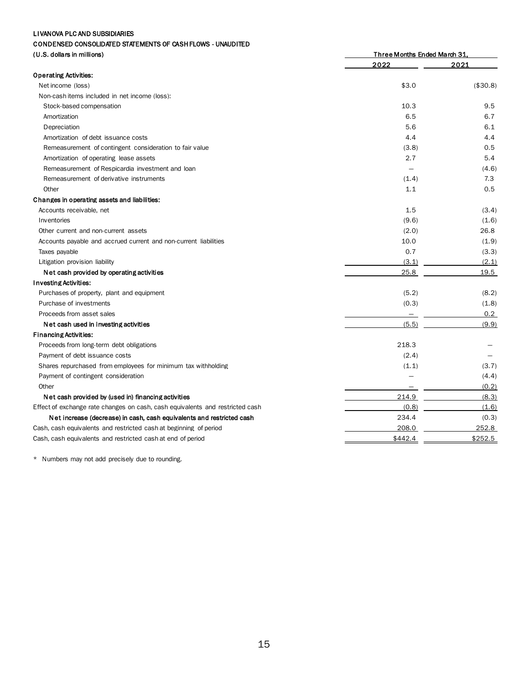### LI VANOVA PLC AND SUBSIDIARIES

#### CONDENSED CONSOLIDATED STATEMENTS OF CASH FLOWS - UNAUDITED

| (U.S. dollars in millions)                                                    | <b>Three Months Ended March 31,</b> |          |  |  |
|-------------------------------------------------------------------------------|-------------------------------------|----------|--|--|
|                                                                               | 2022                                | 2021     |  |  |
| <b>Operating Activities:</b>                                                  |                                     |          |  |  |
| Net income (loss)                                                             | \$3.0                               | (\$30.8) |  |  |
| Non-cash items included in net income (loss):                                 |                                     |          |  |  |
| Stock-based compensation                                                      | 10.3                                | 9.5      |  |  |
| Amortization                                                                  | 6.5                                 | 6.7      |  |  |
| Depreciation                                                                  | 5.6                                 | 6.1      |  |  |
| Amortization of debt issuance costs                                           | 4.4                                 | 4.4      |  |  |
| Remeasurement of contingent consideration to fair value                       | (3.8)                               | 0.5      |  |  |
| Amortization of operating lease assets                                        | 2.7                                 | 5.4      |  |  |
| Remeasurement of Respicardia investment and loan                              |                                     | (4.6)    |  |  |
| Remeasurement of derivative instruments                                       | (1.4)                               | 7.3      |  |  |
| Other                                                                         | 1.1                                 | 0.5      |  |  |
| Changes in operating assets and liabilities:                                  |                                     |          |  |  |
| Accounts receivable, net                                                      | 1.5                                 | (3.4)    |  |  |
| Inventories                                                                   | (9.6)                               | (1.6)    |  |  |
| Other current and non-current assets                                          | (2.0)                               | 26.8     |  |  |
| Accounts payable and accrued current and non-current liabilities              | 10.0                                | (1.9)    |  |  |
| Taxes payable                                                                 | 0.7                                 | (3.3)    |  |  |
| Litigation provision liability                                                | (3.1)                               | (2.1)    |  |  |
| Net cash provided by operating activities                                     | 25.8                                | 19.5     |  |  |
| <b>Investing Activities:</b>                                                  |                                     |          |  |  |
| Purchases of property, plant and equipment                                    | (5.2)                               | (8.2)    |  |  |
| Purchase of investments                                                       | (0.3)                               | (1.8)    |  |  |
| Proceeds from asset sales                                                     | $\overline{\phantom{m}}$            | 0.2      |  |  |
| Net cash used in investing activities                                         | (5.5)                               | (9.9)    |  |  |
| <b>Financing Activities:</b>                                                  |                                     |          |  |  |
| Proceeds from long-term debt obligations                                      | 218.3                               |          |  |  |
| Payment of debt issuance costs                                                | (2.4)                               |          |  |  |
| Shares repurchased from employees for minimum tax withholding                 | (1.1)                               | (3.7)    |  |  |
| Payment of contingent consideration                                           |                                     | (4.4)    |  |  |
| Other                                                                         |                                     | (0.2)    |  |  |
| Net cash provided by (used in) financing activities                           | 214.9                               | (8.3)    |  |  |
| Effect of exchange rate changes on cash, cash equivalents and restricted cash | (0.8)                               | (1.6)    |  |  |
| Net increase (decrease) in cash, cash equivalents and restricted cash         | 234.4                               | (0.3)    |  |  |
| Cash, cash equivalents and restricted cash at beginning of period             | 208.0                               | 252.8    |  |  |
| Cash, cash equivalents and restricted cash at end of period                   | \$442.4                             | \$252.5  |  |  |